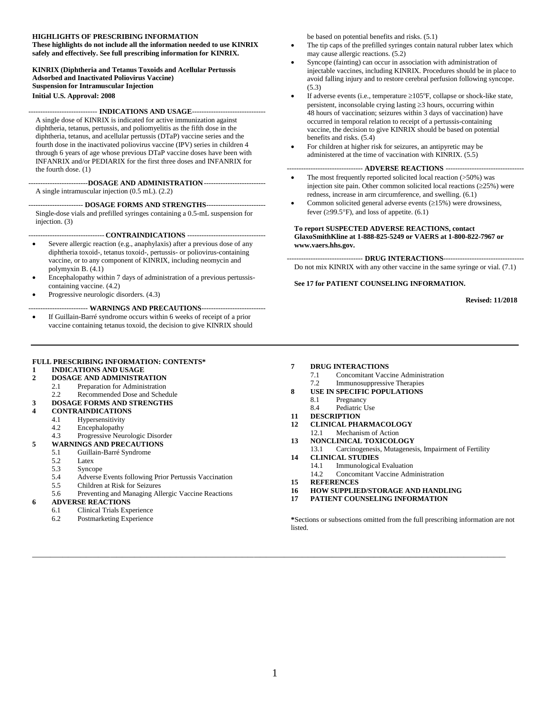#### **HIGHLIGHTS OF PRESCRIBING INFORMATION**

**These highlights do not include all the information needed to use KINRIX safely and effectively. See full prescribing information for KINRIX.**

**KINRIX (Diphtheria and Tetanus Toxoids and Acellular Pertussis Adsorbed and Inactivated Poliovirus Vaccine) Suspension for Intramuscular Injection Initial U.S. Approval: 2008**

----------------------------- **INDICATIONS AND USAGE**-------------------------------

A single dose of KINRIX is indicated for active immunization against diphtheria, tetanus, pertussis, and poliomyelitis as the fifth dose in the diphtheria, tetanus, and acellular pertussis (DTaP) vaccine series and the fourth dose in the inactivated poliovirus vaccine (IPV) series in children 4 through 6 years of age whose previous DTaP vaccine doses have been with INFANRIX and/or PEDIARIX for the first three doses and INFANRIX for the fourth dose. (1)

-------------------------**DOSAGE AND ADMINISTRATION**-------------------------- A single intramuscular injection (0.5 mL). (2.2)

----------------------- **DOSAGE FORMS AND STRENGTHS**------------------------- Single-dose vials and prefilled syringes containing a 0.5-mL suspension for injection. (3)

-------------------------------- **CONTRAINDICATIONS** ---------------------------------

- Severe allergic reaction (e.g., anaphylaxis) after a previous dose of any diphtheria toxoid-, tetanus toxoid-, pertussis- or poliovirus-containing vaccine, or to any component of KINRIX, including neomycin and polymyxin B. (4.1)
- Encephalopathy within 7 days of administration of a previous pertussiscontaining vaccine. (4.2)
- Progressive neurologic disorders. (4.3)

------------------------- **WARNINGS AND PRECAUTIONS**---------------------------

• If Guillain-Barré syndrome occurs within 6 weeks of receipt of a prior vaccine containing tetanus toxoid, the decision to give KINRIX should

#### **FULL PRESCRIBING INFORMATION: CONTENTS\***

- **1 [INDICATIONS AND USAGE](#page-1-0)**
- **2 [DOSAGE AND ADMINISTRATION](#page-1-1)**
	- 2.1 [Preparation for Administration](#page-1-2)
	- 2.2 [Recommended Dose and Schedule](#page-1-3)

#### **3 [DOSAGE FORMS AND STRENGTHS](#page-1-4) 4 [CONTRAINDICATIONS](#page-2-0)**

- 
- 4.1 [Hypersensitivity](#page-2-1) 4.2 [Encephalopathy](#page-2-2)
- 
- 4.3 [Progressive Neurologic Disorder](#page-2-3) **5 [WARNINGS AND PRECAUTIONS](#page-2-4)**

- 5.1 [Guillain-Barré Syndrome](#page-2-5)
- 5.2 [Latex](#page-2-6)<br>5.3 Synco
- 5.3 [Syncope](#page-2-7)<br>5.4 Adverse
- 5.4 [Adverse Events following Prior Pertussis Vaccination](#page-3-0)
- 5.5 [Children at Risk for Seizures](#page-3-1)
- 5.6 [Preventing and Managing Allergic Vaccine Reactions](#page-3-2)

#### **6 [ADVERSE REACTIONS](#page-3-3)**

- 6.1 [Clinical Trials Experience](#page-3-4)
- 6.2 [Postmarketing Experience](#page-6-0)

be based on potential benefits and risks. (5.1)

- The tip caps of the prefilled syringes contain natural rubber latex which may cause allergic reactions. (5.2)
- Syncope (fainting) can occur in association with administration of injectable vaccines, including KINRIX. Procedures should be in place to avoid falling injury and to restore cerebral perfusion following syncope. (5.3)
- If adverse events (i.e., temperature  $\geq$ 105°F, collapse or shock-like state, persistent, inconsolable crying lasting  $\geq$  3 hours, occurring within 48 hours of vaccination; seizures within 3 days of vaccination) have occurred in temporal relation to receipt of a pertussis-containing vaccine, the decision to give KINRIX should be based on potential benefits and risks. (5.4)
- For children at higher risk for seizures, an antipyretic may be administered at the time of vaccination with KINRIX. (5.5)

#### -- ADVERSE REACTIONS ----

- The most frequently reported solicited local reaction (>50%) was injection site pain. Other common solicited local reactions ( $\geq$ 25%) were redness, increase in arm circumference, and swelling. (6.1)
- Common solicited general adverse events  $(\geq 15\%)$  were drowsiness, fever ( $\geq$ 99.5°F), and loss of appetite. (6.1)

#### **To report SUSPECTED ADVERSE REACTIONS, contact GlaxoSmithKline at 1-888-825-5249 or VAERS at 1-800-822-7967 or www.vaers.hhs.gov.**

-------------------------------- **DRUG INTERACTIONS**----------------------------------

Do not mix KINRIX with any other vaccine in the same syringe or vial. (7.1)

#### **See 17 for PATIENT COUNSELING INFORMATION.**

**Revised: 11/2018**

- **7 [DRUG INTERACTIONS](#page-6-1)**<br>7.1 **Concomitant Vacc** 
	- 7.1 [Concomitant Vaccine Administration](#page-6-2)
- 7.2 [Immunosuppressive Therapies](#page-7-0)
- **8 [USE IN SPECIFIC POPULATIONS](#page-7-1)**
	- 8.1 [Pregnancy](#page-7-2)
	- 8.4 [Pediatric Use](#page-7-3)
- **11 [DESCRIPTION](#page-7-4)**
- **12 [CLINICAL PHARMACOLOGY](#page-8-0)** 12.1 [Mechanism of Action](#page-8-1)
- **13 [NONCLINICAL TOXICOLOGY](#page-9-0)**
- 13.1 [Carcinogenesis, Mutagenesis, Impairment of Fertility](#page-9-1) **14 [CLINICAL STUDIES](#page-9-2)**
- 14.1 [Immunological Evaluation](#page-9-3)
- 14.2 [Concomitant Vaccine Administration](#page-11-0)
- **15 [REFERENCES](#page-11-1)**
- **16 [HOW SUPPLIED/STORAGE](#page-12-0) AND HANDLING**
- **17 [PATIENT COUNSELING INFORMATION](#page-12-1)**

**\***Sections or subsections omitted from the full prescribing information are not listed.

**\_\_\_\_\_\_\_\_\_\_\_\_\_\_\_\_\_\_\_\_\_\_\_\_\_\_\_\_\_\_\_\_\_\_\_\_\_\_\_\_\_\_\_\_\_\_\_\_\_\_\_\_\_\_\_\_\_\_\_\_\_\_\_\_\_\_\_\_\_\_\_\_\_\_\_\_\_\_\_**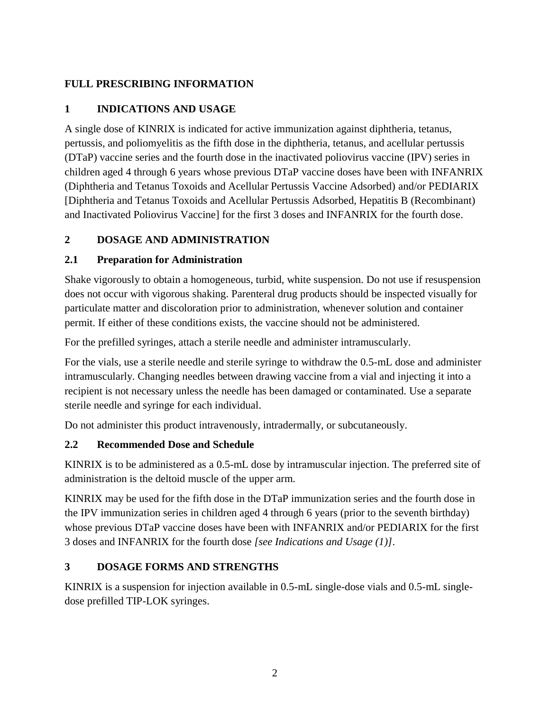# <span id="page-1-0"></span>**FULL PRESCRIBING INFORMATION**

## **1 INDICATIONS AND USAGE**

A single dose of KINRIX is indicated for active immunization against diphtheria, tetanus, pertussis, and poliomyelitis as the fifth dose in the diphtheria, tetanus, and acellular pertussis (DTaP) vaccine series and the fourth dose in the inactivated poliovirus vaccine (IPV) series in children aged 4 through 6 years whose previous DTaP vaccine doses have been with INFANRIX (Diphtheria and Tetanus Toxoids and Acellular Pertussis Vaccine Adsorbed) and/or PEDIARIX [Diphtheria and Tetanus Toxoids and Acellular Pertussis Adsorbed, Hepatitis B (Recombinant) and Inactivated Poliovirus Vaccine] for the first 3 doses and INFANRIX for the fourth dose.

# <span id="page-1-1"></span>**2 DOSAGE AND ADMINISTRATION**

## <span id="page-1-2"></span>**2.1 Preparation for Administration**

Shake vigorously to obtain a homogeneous, turbid, white suspension. Do not use if resuspension does not occur with vigorous shaking. Parenteral drug products should be inspected visually for particulate matter and discoloration prior to administration, whenever solution and container permit. If either of these conditions exists, the vaccine should not be administered.

For the prefilled syringes, attach a sterile needle and administer intramuscularly.

For the vials, use a sterile needle and sterile syringe to withdraw the 0.5-mL dose and administer intramuscularly. Changing needles between drawing vaccine from a vial and injecting it into a recipient is not necessary unless the needle has been damaged or contaminated. Use a separate sterile needle and syringe for each individual.

Do not administer this product intravenously, intradermally, or subcutaneously.

## <span id="page-1-3"></span>**2.2 Recommended Dose and Schedule**

KINRIX is to be administered as a 0.5-mL dose by intramuscular injection. The preferred site of administration is the deltoid muscle of the upper arm.

KINRIX may be used for the fifth dose in the DTaP immunization series and the fourth dose in the IPV immunization series in children aged 4 through 6 years (prior to the seventh birthday) whose previous DTaP vaccine doses have been with INFANRIX and/or PEDIARIX for the first 3 doses and INFANRIX for the fourth dose *[see Indications and Usage (1)]*.

## <span id="page-1-4"></span>**3 DOSAGE FORMS AND STRENGTHS**

KINRIX is a suspension for injection available in 0.5-mL single-dose vials and 0.5-mL singledose prefilled TIP-LOK syringes.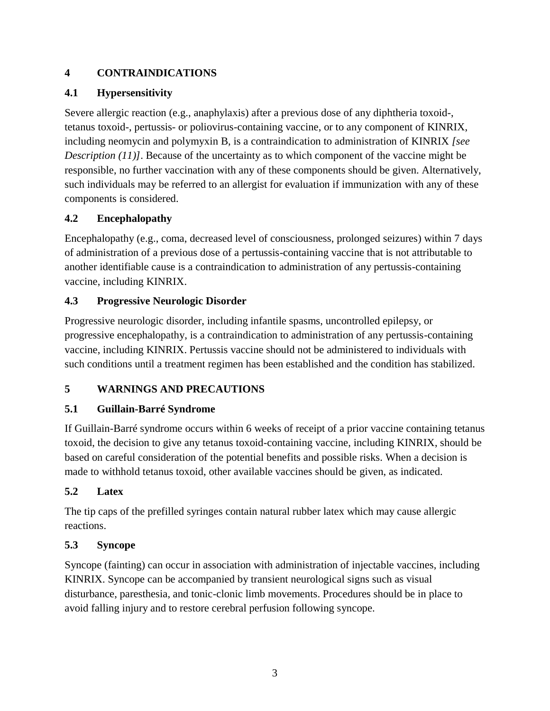## <span id="page-2-0"></span>**4 CONTRAINDICATIONS**

# <span id="page-2-1"></span>**4.1 Hypersensitivity**

Severe allergic reaction (e.g., anaphylaxis) after a previous dose of any diphtheria toxoid-, tetanus toxoid-, pertussis- or poliovirus-containing vaccine, or to any component of KINRIX, including neomycin and polymyxin B, is a contraindication to administration of KINRIX *[see Description (11)]*. Because of the uncertainty as to which component of the vaccine might be responsible, no further vaccination with any of these components should be given. Alternatively, such individuals may be referred to an allergist for evaluation if immunization with any of these components is considered.

## <span id="page-2-2"></span>**4.2 Encephalopathy**

Encephalopathy (e.g., coma, decreased level of consciousness, prolonged seizures) within 7 days of administration of a previous dose of a pertussis-containing vaccine that is not attributable to another identifiable cause is a contraindication to administration of any pertussis-containing vaccine, including KINRIX.

# <span id="page-2-3"></span>**4.3 Progressive Neurologic Disorder**

Progressive neurologic disorder, including infantile spasms, uncontrolled epilepsy, or progressive encephalopathy, is a contraindication to administration of any pertussis-containing vaccine, including KINRIX. Pertussis vaccine should not be administered to individuals with such conditions until a treatment regimen has been established and the condition has stabilized.

# <span id="page-2-4"></span>**5 WARNINGS AND PRECAUTIONS**

# <span id="page-2-5"></span>**5.1 Guillain-Barré Syndrome**

If Guillain-Barré syndrome occurs within 6 weeks of receipt of a prior vaccine containing tetanus toxoid, the decision to give any tetanus toxoid-containing vaccine, including KINRIX, should be based on careful consideration of the potential benefits and possible risks. When a decision is made to withhold tetanus toxoid, other available vaccines should be given, as indicated.

## <span id="page-2-6"></span>**5.2 Latex**

The tip caps of the prefilled syringes contain natural rubber latex which may cause allergic reactions.

# <span id="page-2-7"></span>**5.3 Syncope**

Syncope (fainting) can occur in association with administration of injectable vaccines, including KINRIX. Syncope can be accompanied by transient neurological signs such as visual disturbance, paresthesia, and tonic-clonic limb movements. Procedures should be in place to avoid falling injury and to restore cerebral perfusion following syncope.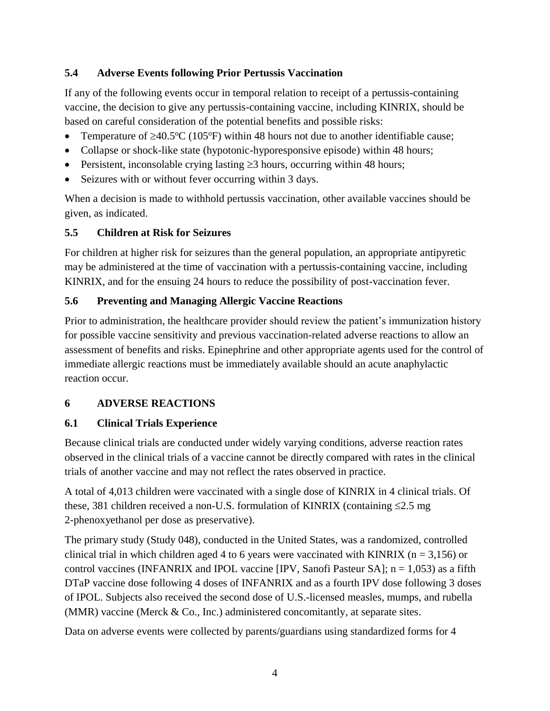## <span id="page-3-0"></span>**5.4 Adverse Events following Prior Pertussis Vaccination**

If any of the following events occur in temporal relation to receipt of a pertussis-containing vaccine, the decision to give any pertussis-containing vaccine, including KINRIX, should be based on careful consideration of the potential benefits and possible risks:

- Temperature of  $\geq 40.5$ °C (105°F) within 48 hours not due to another identifiable cause;
- Collapse or shock-like state (hypotonic-hyporesponsive episode) within 48 hours;
- Persistent, inconsolable crying lasting  $\geq 3$  hours, occurring within 48 hours;
- Seizures with or without fever occurring within 3 days.

When a decision is made to withhold pertussis vaccination, other available vaccines should be given, as indicated.

## <span id="page-3-1"></span>**5.5 Children at Risk for Seizures**

For children at higher risk for seizures than the general population, an appropriate antipyretic may be administered at the time of vaccination with a pertussis-containing vaccine, including KINRIX, and for the ensuing 24 hours to reduce the possibility of post-vaccination fever.

## <span id="page-3-2"></span>**5.6 Preventing and Managing Allergic Vaccine Reactions**

Prior to administration, the healthcare provider should review the patient's immunization history for possible vaccine sensitivity and previous vaccination-related adverse reactions to allow an assessment of benefits and risks. Epinephrine and other appropriate agents used for the control of immediate allergic reactions must be immediately available should an acute anaphylactic reaction occur.

## <span id="page-3-3"></span>**6 ADVERSE REACTIONS**

## <span id="page-3-4"></span>**6.1 Clinical Trials Experience**

Because clinical trials are conducted under widely varying conditions, adverse reaction rates observed in the clinical trials of a vaccine cannot be directly compared with rates in the clinical trials of another vaccine and may not reflect the rates observed in practice.

A total of 4,013 children were vaccinated with a single dose of KINRIX in 4 clinical trials. Of these, 381 children received a non-U.S. formulation of KINRIX (containing  $\leq 2.5$  mg 2-phenoxyethanol per dose as preservative).

The primary study (Study 048), conducted in the United States, was a randomized, controlled clinical trial in which children aged 4 to 6 years were vaccinated with KINRIX ( $n = 3,156$ ) or control vaccines (INFANRIX and IPOL vaccine [IPV, Sanofi Pasteur SA];  $n = 1,053$ ) as a fifth DTaP vaccine dose following 4 doses of INFANRIX and as a fourth IPV dose following 3 doses of IPOL. Subjects also received the second dose of U.S.-licensed measles, mumps, and rubella (MMR) vaccine (Merck  $& Co., Inc.$ ) administered concomitantly, at separate sites.

Data on adverse events were collected by parents/guardians using standardized forms for 4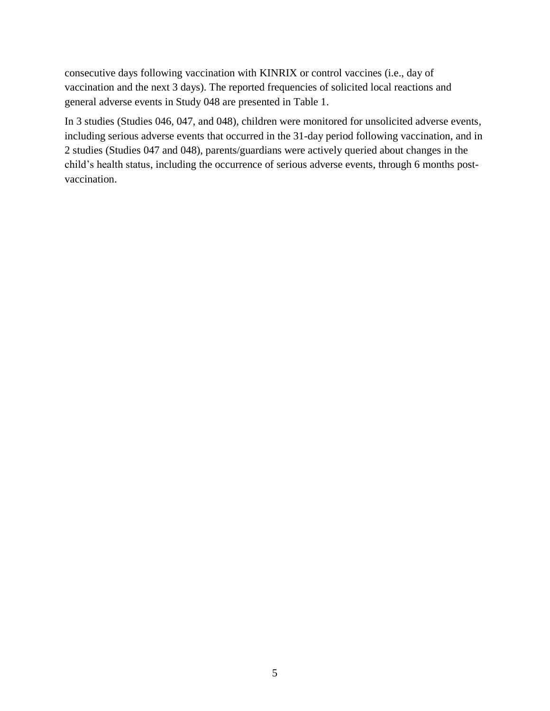consecutive days following vaccination with KINRIX or control vaccines (i.e., day of vaccination and the next 3 days). The reported frequencies of solicited local reactions and general adverse events in Study 048 are presented in Table 1.

In 3 studies (Studies 046, 047, and 048), children were monitored for unsolicited adverse events, including serious adverse events that occurred in the 31-day period following vaccination, and in 2 studies (Studies 047 and 048), parents/guardians were actively queried about changes in the child's health status, including the occurrence of serious adverse events, through 6 months postvaccination.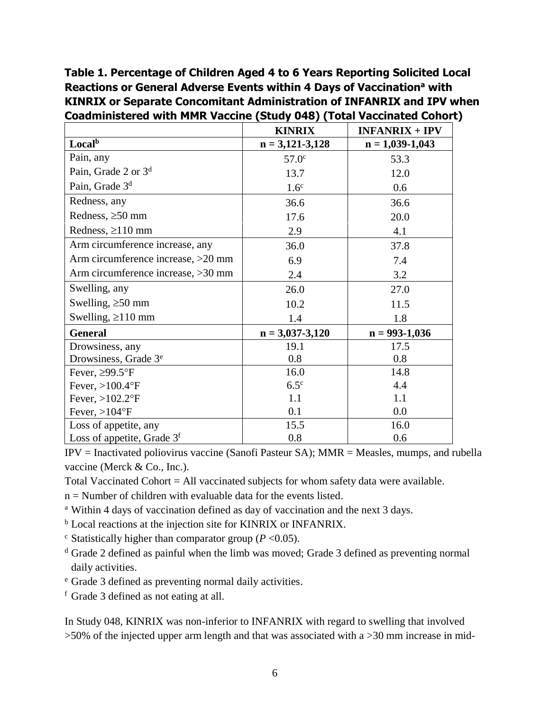**Table 1. Percentage of Children Aged 4 to 6 Years Reporting Solicited Local Reactions or General Adverse Events within 4 Days of Vaccination<sup>a</sup> with KINRIX or Separate Concomitant Administration of INFANRIX and IPV when Coadministered with MMR Vaccine (Study 048) (Total Vaccinated Cohort)**

|                                    | <b>KINRIX</b>       | $INFANKIX + IPv$  |
|------------------------------------|---------------------|-------------------|
| Local <sup>b</sup>                 | $n = 3,121-3,128$   | $n = 1,039-1,043$ |
| Pain, any                          | 57.0 <sup>c</sup>   | 53.3              |
| Pain, Grade 2 or 3 <sup>d</sup>    | 13.7                | 12.0              |
| Pain, Grade 3 <sup>d</sup>         | 1.6 <sup>c</sup>    | 0.6               |
| Redness, any                       | 36.6                | 36.6              |
| Redness, $\geq 50$ mm              | 17.6                | 20.0              |
| Redness, $\geq$ 110 mm             | 2.9                 | 4.1               |
| Arm circumference increase, any    | 36.0                | 37.8              |
| Arm circumference increase, >20 mm | 6.9                 | 7.4               |
| Arm circumference increase, >30 mm | 2.4                 | 3.2               |
| Swelling, any                      | 26.0                | 27.0              |
| Swelling, $\geq 50$ mm             | 10.2                | 11.5              |
| Swelling, $\geq 110$ mm            | 1.4                 | 1.8               |
| <b>General</b>                     | $n = 3,037 - 3,120$ | $n = 993-1,036$   |
| Drowsiness, any                    | 19.1                | 17.5              |
| Drowsiness, Grade 3 <sup>e</sup>   | 0.8                 | 0.8               |
| Fever, $\geq$ 99.5°F               | 16.0                | 14.8              |
| Fever, $>100.4$ °F                 | $6.5^{\circ}$       | 4.4               |
| Fever, $>102.2$ °F                 | 1.1                 | 1.1               |
| Fever, $>104$ °F                   | 0.1                 | 0.0               |
| Loss of appetite, any              | 15.5                | 16.0              |
| Loss of appetite, Grade $3f$       | 0.8                 | 0.6               |

IPV = Inactivated poliovirus vaccine (Sanofi Pasteur SA); MMR = Measles, mumps, and rubella vaccine (Merck & Co., Inc.).

Total Vaccinated Cohort = All vaccinated subjects for whom safety data were available.

 $n =$  Number of children with evaluable data for the events listed.

<sup>a</sup> Within 4 days of vaccination defined as day of vaccination and the next 3 days.

<sup>b</sup> Local reactions at the injection site for KINRIX or INFANRIX.

 $\textdegree$  Statistically higher than comparator group ( $P < 0.05$ ).

<sup>d</sup> Grade 2 defined as painful when the limb was moved; Grade 3 defined as preventing normal daily activities.

<sup>e</sup> Grade 3 defined as preventing normal daily activities.

<sup>f</sup> Grade 3 defined as not eating at all.

In Study 048, KINRIX was non-inferior to INFANRIX with regard to swelling that involved >50% of the injected upper arm length and that was associated with a >30 mm increase in mid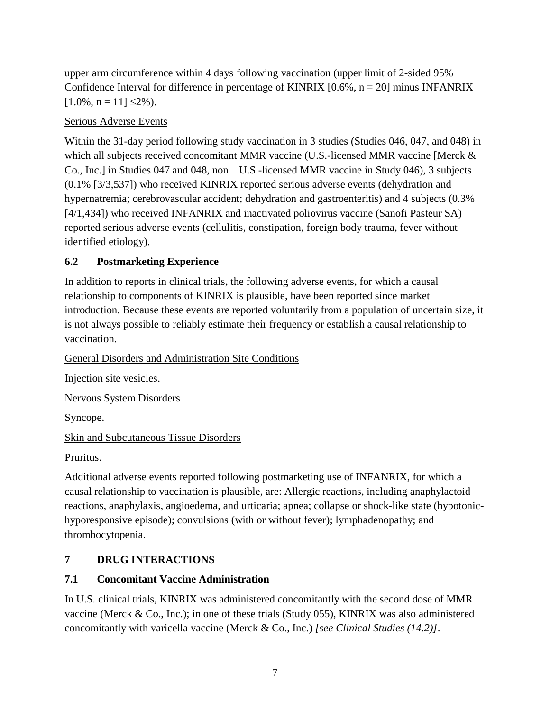upper arm circumference within 4 days following vaccination (upper limit of 2-sided 95% Confidence Interval for difference in percentage of KINRIX  $[0.6\%, n = 20]$  minus INFANRIX  $[1.0\%, n = 11] \leq 2\%$ ).

#### Serious Adverse Events

Within the 31-day period following study vaccination in 3 studies (Studies 046, 047, and 048) in which all subjects received concomitant MMR vaccine (U.S.-licensed MMR vaccine [Merck & Co., Inc.] in Studies 047 and 048, non—U.S.-licensed MMR vaccine in Study 046), 3 subjects (0.1% [3/3,537]) who received KINRIX reported serious adverse events (dehydration and hypernatremia; cerebrovascular accident; dehydration and gastroenteritis) and 4 subjects (0.3% [4/1,434]) who received INFANRIX and inactivated poliovirus vaccine (Sanofi Pasteur SA) reported serious adverse events (cellulitis, constipation, foreign body trauma, fever without identified etiology).

## <span id="page-6-0"></span>**6.2 Postmarketing Experience**

In addition to reports in clinical trials, the following adverse events, for which a causal relationship to components of KINRIX is plausible, have been reported since market introduction. Because these events are reported voluntarily from a population of uncertain size, it is not always possible to reliably estimate their frequency or establish a causal relationship to vaccination.

General Disorders and Administration Site Conditions

Injection site vesicles.

Nervous System Disorders

Syncope.

#### Skin and Subcutaneous Tissue Disorders

Pruritus.

Additional adverse events reported following postmarketing use of INFANRIX, for which a causal relationship to vaccination is plausible, are: Allergic reactions, including anaphylactoid reactions, anaphylaxis, angioedema, and urticaria; apnea; collapse or shock-like state (hypotonichyporesponsive episode); convulsions (with or without fever); lymphadenopathy; and thrombocytopenia.

## <span id="page-6-1"></span>**7 DRUG INTERACTIONS**

## <span id="page-6-2"></span>**7.1 Concomitant Vaccine Administration**

In U.S. clinical trials, KINRIX was administered concomitantly with the second dose of MMR vaccine (Merck & Co., Inc.); in one of these trials (Study 055), KINRIX was also administered concomitantly with varicella vaccine (Merck & Co., Inc.) *[see Clinical Studies (14.2)]*.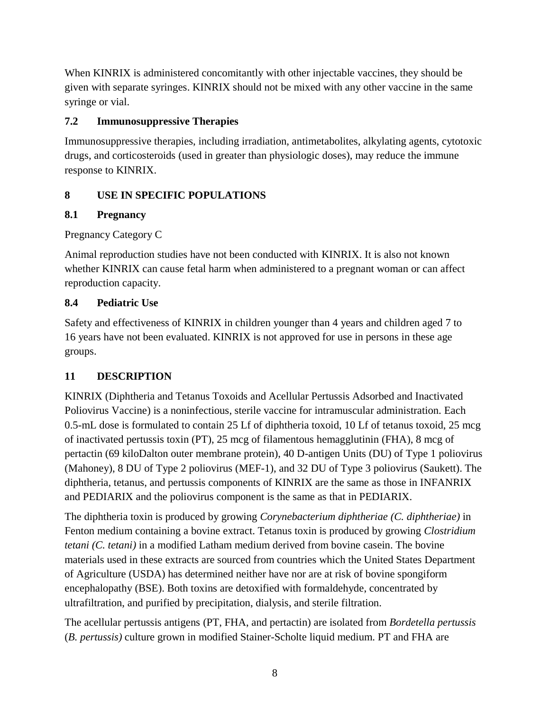When KINRIX is administered concomitantly with other injectable vaccines, they should be given with separate syringes. KINRIX should not be mixed with any other vaccine in the same syringe or vial.

## <span id="page-7-0"></span>**7.2 Immunosuppressive Therapies**

Immunosuppressive therapies, including irradiation, antimetabolites, alkylating agents, cytotoxic drugs, and corticosteroids (used in greater than physiologic doses), may reduce the immune response to KINRIX.

## <span id="page-7-1"></span>**8 USE IN SPECIFIC POPULATIONS**

#### <span id="page-7-2"></span>**8.1 Pregnancy**

Pregnancy Category C

Animal reproduction studies have not been conducted with KINRIX. It is also not known whether KINRIX can cause fetal harm when administered to a pregnant woman or can affect reproduction capacity.

#### <span id="page-7-3"></span>**8.4 Pediatric Use**

Safety and effectiveness of KINRIX in children younger than 4 years and children aged 7 to 16 years have not been evaluated. KINRIX is not approved for use in persons in these age groups.

## <span id="page-7-4"></span>**11 DESCRIPTION**

KINRIX (Diphtheria and Tetanus Toxoids and Acellular Pertussis Adsorbed and Inactivated Poliovirus Vaccine) is a noninfectious, sterile vaccine for intramuscular administration. Each 0.5-mL dose is formulated to contain 25 Lf of diphtheria toxoid, 10 Lf of tetanus toxoid, 25 mcg of inactivated pertussis toxin (PT), 25 mcg of filamentous hemagglutinin (FHA), 8 mcg of pertactin (69 kiloDalton outer membrane protein), 40 D-antigen Units (DU) of Type 1 poliovirus (Mahoney), 8 DU of Type 2 poliovirus (MEF-1), and 32 DU of Type 3 poliovirus (Saukett). The diphtheria, tetanus, and pertussis components of KINRIX are the same as those in INFANRIX and PEDIARIX and the poliovirus component is the same as that in PEDIARIX.

The diphtheria toxin is produced by growing *Corynebacterium diphtheriae (C. diphtheriae)* in Fenton medium containing a bovine extract. Tetanus toxin is produced by growing *Clostridium tetani (C. tetani)* in a modified Latham medium derived from bovine casein. The bovine materials used in these extracts are sourced from countries which the United States Department of Agriculture (USDA) has determined neither have nor are at risk of bovine spongiform encephalopathy (BSE). Both toxins are detoxified with formaldehyde, concentrated by ultrafiltration, and purified by precipitation, dialysis, and sterile filtration.

The acellular pertussis antigens (PT, FHA, and pertactin) are isolated from *Bordetella pertussis* (*B. pertussis)* culture grown in modified Stainer-Scholte liquid medium. PT and FHA are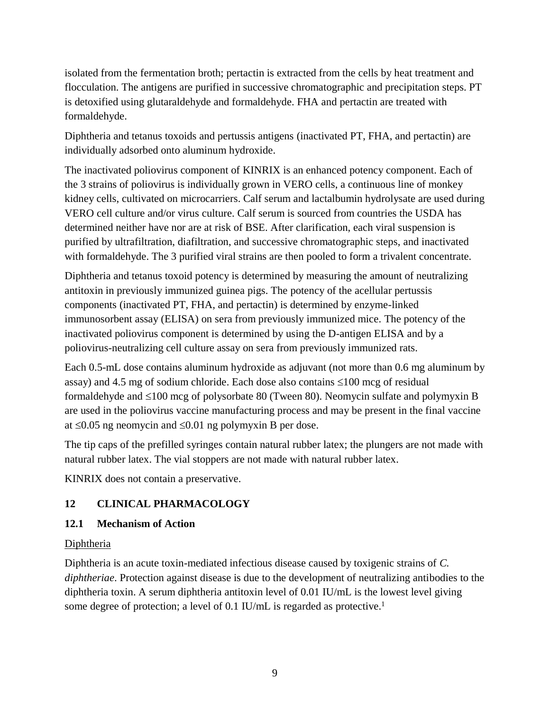isolated from the fermentation broth; pertactin is extracted from the cells by heat treatment and flocculation. The antigens are purified in successive chromatographic and precipitation steps. PT is detoxified using glutaraldehyde and formaldehyde. FHA and pertactin are treated with formaldehyde.

Diphtheria and tetanus toxoids and pertussis antigens (inactivated PT, FHA, and pertactin) are individually adsorbed onto aluminum hydroxide.

The inactivated poliovirus component of KINRIX is an enhanced potency component. Each of the 3 strains of poliovirus is individually grown in VERO cells, a continuous line of monkey kidney cells, cultivated on microcarriers. Calf serum and lactalbumin hydrolysate are used during VERO cell culture and/or virus culture. Calf serum is sourced from countries the USDA has determined neither have nor are at risk of BSE. After clarification, each viral suspension is purified by ultrafiltration, diafiltration, and successive chromatographic steps, and inactivated with formaldehyde. The 3 purified viral strains are then pooled to form a trivalent concentrate.

Diphtheria and tetanus toxoid potency is determined by measuring the amount of neutralizing antitoxin in previously immunized guinea pigs. The potency of the acellular pertussis components (inactivated PT, FHA, and pertactin) is determined by enzyme-linked immunosorbent assay (ELISA) on sera from previously immunized mice. The potency of the inactivated poliovirus component is determined by using the D-antigen ELISA and by a poliovirus-neutralizing cell culture assay on sera from previously immunized rats.

Each 0.5-mL dose contains aluminum hydroxide as adjuvant (not more than 0.6 mg aluminum by assay) and 4.5 mg of sodium chloride. Each dose also contains  $\leq 100$  mcg of residual formaldehyde and  $\leq 100$  mcg of polysorbate 80 (Tween 80). Neomycin sulfate and polymyxin B are used in the poliovirus vaccine manufacturing process and may be present in the final vaccine at  $\leq 0.05$  ng neomycin and  $\leq 0.01$  ng polymyxin B per dose.

The tip caps of the prefilled syringes contain natural rubber latex; the plungers are not made with natural rubber latex. The vial stoppers are not made with natural rubber latex.

<span id="page-8-0"></span>KINRIX does not contain a preservative.

## **12 CLINICAL PHARMACOLOGY**

## <span id="page-8-1"></span>**12.1 Mechanism of Action**

## **Diphtheria**

Diphtheria is an acute toxin-mediated infectious disease caused by toxigenic strains of *C. diphtheriae*. Protection against disease is due to the development of neutralizing antibodies to the diphtheria toxin. A serum diphtheria antitoxin level of 0.01 IU/mL is the lowest level giving some degree of protection; a level of 0.1 IU/mL is regarded as protective.<sup>1</sup>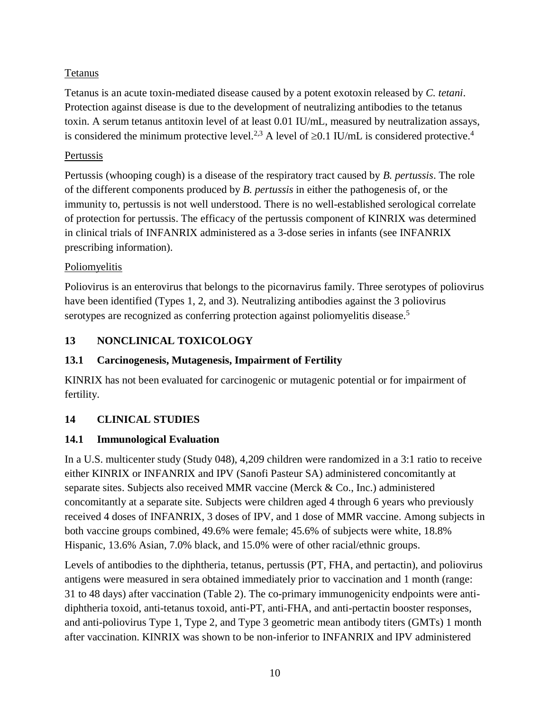## Tetanus

Tetanus is an acute toxin-mediated disease caused by a potent exotoxin released by *C. tetani*. Protection against disease is due to the development of neutralizing antibodies to the tetanus toxin. A serum tetanus antitoxin level of at least 0.01 IU/mL, measured by neutralization assays, is considered the minimum protective level.<sup>2,3</sup> A level of  $\geq 0.1$  IU/mL is considered protective.<sup>4</sup>

## Pertussis

Pertussis (whooping cough) is a disease of the respiratory tract caused by *B. pertussis*. The role of the different components produced by *B. pertussis* in either the pathogenesis of, or the immunity to, pertussis is not well understood. There is no well-established serological correlate of protection for pertussis. The efficacy of the pertussis component of KINRIX was determined in clinical trials of INFANRIX administered as a 3-dose series in infants (see INFANRIX prescribing information).

## Poliomyelitis

Poliovirus is an enterovirus that belongs to the picornavirus family. Three serotypes of poliovirus have been identified (Types 1, 2, and 3). Neutralizing antibodies against the 3 poliovirus serotypes are recognized as conferring protection against poliomyelitis disease.<sup>5</sup>

# <span id="page-9-0"></span>**13 NONCLINICAL TOXICOLOGY**

## <span id="page-9-1"></span>**13.1 Carcinogenesis, Mutagenesis, Impairment of Fertility**

KINRIX has not been evaluated for carcinogenic or mutagenic potential or for impairment of fertility.

## <span id="page-9-2"></span>**14 CLINICAL STUDIES**

## <span id="page-9-3"></span>**14.1 Immunological Evaluation**

In a U.S. multicenter study (Study 048), 4,209 children were randomized in a 3:1 ratio to receive either KINRIX or INFANRIX and IPV (Sanofi Pasteur SA) administered concomitantly at separate sites. Subjects also received MMR vaccine (Merck & Co., Inc.) administered concomitantly at a separate site. Subjects were children aged 4 through 6 years who previously received 4 doses of INFANRIX, 3 doses of IPV, and 1 dose of MMR vaccine. Among subjects in both vaccine groups combined, 49.6% were female; 45.6% of subjects were white, 18.8% Hispanic, 13.6% Asian, 7.0% black, and 15.0% were of other racial/ethnic groups.

Levels of antibodies to the diphtheria, tetanus, pertussis (PT, FHA, and pertactin), and poliovirus antigens were measured in sera obtained immediately prior to vaccination and 1 month (range: 31 to 48 days) after vaccination (Table 2). The co-primary immunogenicity endpoints were antidiphtheria toxoid, anti-tetanus toxoid, anti-PT, anti-FHA, and anti-pertactin booster responses, and anti-poliovirus Type 1, Type 2, and Type 3 geometric mean antibody titers (GMTs) 1 month after vaccination. KINRIX was shown to be non-inferior to INFANRIX and IPV administered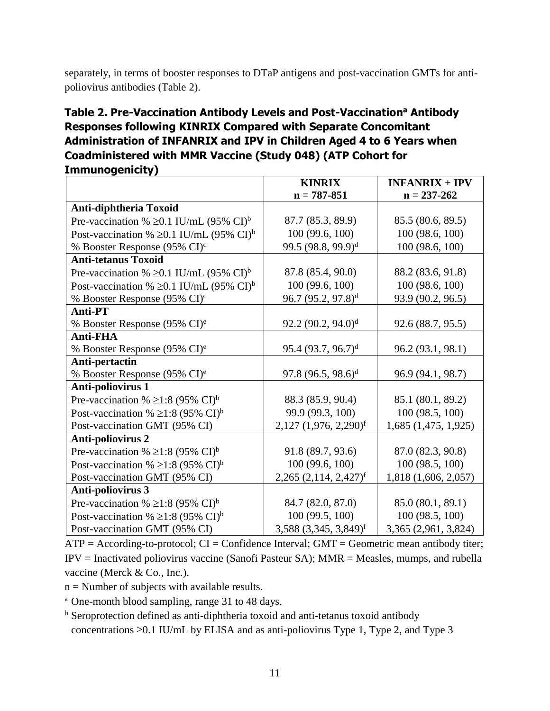separately, in terms of booster responses to DTaP antigens and post-vaccination GMTs for antipoliovirus antibodies (Table 2).

# **Table 2. Pre-Vaccination Antibody Levels and Post-Vaccination<sup>a</sup> Antibody Responses following KINRIX Compared with Separate Concomitant Administration of INFANRIX and IPV in Children Aged 4 to 6 Years when Coadministered with MMR Vaccine (Study 048) (ATP Cohort for Immunogenicity)**

|                                                           | <b>KINRIX</b>                         | $INFANRIX + IPV$         |
|-----------------------------------------------------------|---------------------------------------|--------------------------|
|                                                           | $n = 787 - 851$                       | $n = 237 - 262$          |
| Anti-diphtheria Toxoid                                    |                                       |                          |
| Pre-vaccination % $\geq 0.1$ IU/mL (95% CI) <sup>b</sup>  | 87.7 (85.3, 89.9)                     | 85.5 (80.6, 89.5)        |
| Post-vaccination % $\geq 0.1$ IU/mL (95% CI) <sup>b</sup> | 100 (99.6, 100)                       | 100 (98.6, 100)          |
| % Booster Response (95% CI) <sup>c</sup>                  | 99.5 (98.8, 99.9) <sup>d</sup>        | 100 (98.6, 100)          |
| <b>Anti-tetanus Toxoid</b>                                |                                       |                          |
| Pre-vaccination % $\geq 0.1$ IU/mL (95% CI) <sup>b</sup>  | 87.8 (85.4, 90.0)                     | 88.2 (83.6, 91.8)        |
| Post-vaccination % $\geq 0.1$ IU/mL (95% CI) <sup>b</sup> | 100(99.6, 100)                        | 100(98.6, 100)           |
| % Booster Response (95% CI) <sup>c</sup>                  | $96.7(95.2, 97.8)^d$                  | 93.9 (90.2, 96.5)        |
| <b>Anti-PT</b>                                            |                                       |                          |
| % Booster Response (95% CI) <sup>e</sup>                  | $92.2 (90.2, 94.0)$ <sup>d</sup>      | 92.6 (88.7, 95.5)        |
| <b>Anti-FHA</b>                                           |                                       |                          |
| % Booster Response (95% CI) <sup>e</sup>                  | $95.4 (93.7, 96.7)^d$                 | 96.2 (93.1, 98.1)        |
| Anti-pertactin                                            |                                       |                          |
| % Booster Response (95% CI) <sup>e</sup>                  | $97.8 (96.5, 98.6)^d$                 | 96.9 (94.1, 98.7)        |
| <b>Anti-poliovirus 1</b>                                  |                                       |                          |
| Pre-vaccination % $\geq$ 1:8 (95% CI) <sup>b</sup>        | 88.3 (85.9, 90.4)                     | 85.1 (80.1, 89.2)        |
| Post-vaccination % $\geq$ 1:8 (95% CI) <sup>b</sup>       | 99.9 (99.3, 100)                      | 100(98.5, 100)           |
| Post-vaccination GMT (95% CI)                             | $2,127$ $(1,976, 2,290)$ <sup>f</sup> | $1,685$ $(1,475, 1,925)$ |
| <b>Anti-poliovirus 2</b>                                  |                                       |                          |
| Pre-vaccination % $\geq$ 1:8 (95% CI) <sup>b</sup>        | 91.8 (89.7, 93.6)                     | 87.0 (82.3, 90.8)        |
| Post-vaccination % $\geq$ 1:8 (95% CI) <sup>b</sup>       | 100 (99.6, 100)                       | 100(98.5, 100)           |
| Post-vaccination GMT (95% CI)                             | $2,265$ $(2,114, 2,427)$ <sup>f</sup> | 1,818 (1,606, 2,057)     |
| Anti-poliovirus 3                                         |                                       |                          |
| Pre-vaccination % $\geq$ 1:8 (95% CI) <sup>b</sup>        | 84.7 (82.0, 87.0)                     | 85.0 (80.1, 89.1)        |
| Post-vaccination % $\geq$ 1:8 (95% CI) <sup>b</sup>       | 100 (99.5, 100)                       | 100(98.5, 100)           |
| Post-vaccination GMT (95% CI)                             | $3,588$ $(3,345, 3,849)$ <sup>f</sup> | 3,365 (2,961, 3,824)     |

 $ATP = According-to-protocol$ ;  $CI = Confidence Interval$ ;  $GMT = Geometric mean antibody$  titer; IPV = Inactivated poliovirus vaccine (Sanofi Pasteur SA); MMR = Measles, mumps, and rubella vaccine (Merck & Co., Inc.).

 $n =$  Number of subjects with available results.

<sup>a</sup> One-month blood sampling, range 31 to 48 days.

<sup>b</sup> Seroprotection defined as anti-diphtheria toxoid and anti-tetanus toxoid antibody concentrations  $\geq 0.1$  IU/mL by ELISA and as anti-poliovirus Type 1, Type 2, and Type 3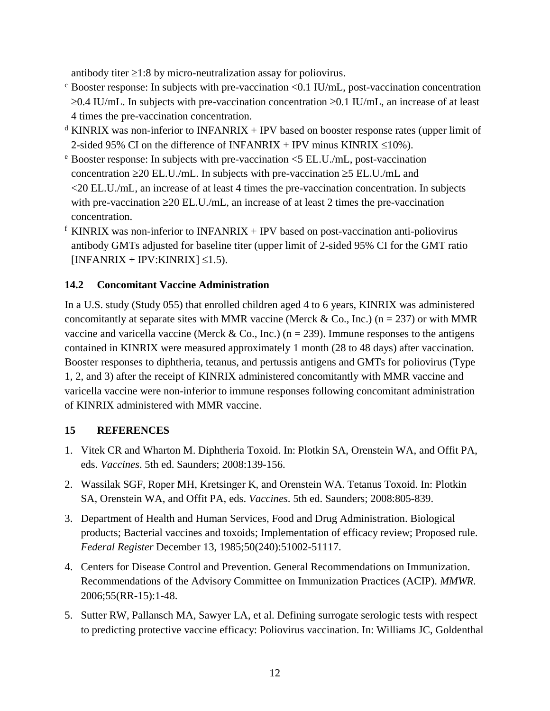antibody titer  $\geq 1:8$  by micro-neutralization assay for poliovirus.

- $\epsilon$  Booster response: In subjects with pre-vaccination <0.1 IU/mL, post-vaccination concentration  $\geq 0.4$  IU/mL. In subjects with pre-vaccination concentration  $\geq 0.1$  IU/mL, an increase of at least 4 times the pre-vaccination concentration.
- $d$  KINRIX was non-inferior to INFANRIX + IPV based on booster response rates (upper limit of 2-sided 95% CI on the difference of INFANRIX + IPV minus KINRIX  $\leq 10\%$ ).
- <sup>e</sup> Booster response: In subjects with pre-vaccination <5 EL.U./mL, post-vaccination concentration  $\geq$  20 EL.U./mL. In subjects with pre-vaccination  $\geq$  5 EL.U./mL and <20 EL.U./mL, an increase of at least 4 times the pre-vaccination concentration. In subjects with pre-vaccination  $\geq$  20 EL.U./mL, an increase of at least 2 times the pre-vaccination concentration.
- $f$  KINRIX was non-inferior to INFANRIX + IPV based on post-vaccination anti-poliovirus antibody GMTs adjusted for baseline titer (upper limit of 2-sided 95% CI for the GMT ratio  $[INFANKIX + IPV:KINRIX] \leq 1.5$ ).

## <span id="page-11-0"></span>**14.2 Concomitant Vaccine Administration**

In a U.S. study (Study 055) that enrolled children aged 4 to 6 years, KINRIX was administered concomitantly at separate sites with MMR vaccine (Merck & Co., Inc.) (n = 237) or with MMR vaccine and varicella vaccine (Merck & Co., Inc.) ( $n = 239$ ). Immune responses to the antigens contained in KINRIX were measured approximately 1 month (28 to 48 days) after vaccination. Booster responses to diphtheria, tetanus, and pertussis antigens and GMTs for poliovirus (Type 1, 2, and 3) after the receipt of KINRIX administered concomitantly with MMR vaccine and varicella vaccine were non-inferior to immune responses following concomitant administration of KINRIX administered with MMR vaccine.

## <span id="page-11-1"></span>**15 REFERENCES**

- 1. Vitek CR and Wharton M. Diphtheria Toxoid. In: Plotkin SA, Orenstein WA, and Offit PA, eds. *Vaccines*. 5th ed. Saunders; 2008:139-156.
- 2. Wassilak SGF, Roper MH, Kretsinger K, and Orenstein WA. Tetanus Toxoid. In: Plotkin SA, Orenstein WA, and Offit PA, eds. *Vaccines*. 5th ed. Saunders; 2008:805-839.
- 3. Department of Health and Human Services, Food and Drug Administration. Biological products; Bacterial vaccines and toxoids; Implementation of efficacy review; Proposed rule. *Federal Register* December 13, 1985;50(240):51002-51117.
- 4. Centers for Disease Control and Prevention. General Recommendations on Immunization. Recommendations of the Advisory Committee on Immunization Practices (ACIP). *MMWR.* 2006;55(RR-15):1-48.
- 5. Sutter RW, Pallansch MA, Sawyer LA, et al. Defining surrogate serologic tests with respect to predicting protective vaccine efficacy: Poliovirus vaccination. In: Williams JC, Goldenthal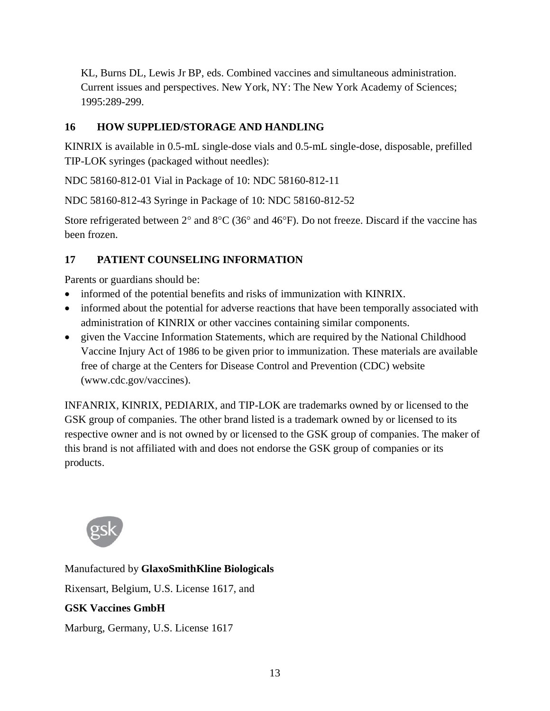KL, Burns DL, Lewis Jr BP, eds. Combined vaccines and simultaneous administration. Current issues and perspectives. New York, NY: The New York Academy of Sciences; 1995:289-299.

## <span id="page-12-0"></span>**16 HOW SUPPLIED/STORAGE AND HANDLING**

KINRIX is available in 0.5-mL single-dose vials and 0.5-mL single-dose, disposable, prefilled TIP-LOK syringes (packaged without needles):

NDC 58160-812-01 Vial in Package of 10: NDC 58160-812-11

NDC 58160-812-43 Syringe in Package of 10: NDC 58160-812-52

Store refrigerated between  $2^{\circ}$  and  $8^{\circ}C$  (36° and 46°F). Do not freeze. Discard if the vaccine has been frozen.

# <span id="page-12-1"></span>**17 PATIENT COUNSELING INFORMATION**

Parents or guardians should be:

- informed of the potential benefits and risks of immunization with KINRIX.
- informed about the potential for adverse reactions that have been temporally associated with administration of KINRIX or other vaccines containing similar components.
- given the Vaccine Information Statements, which are required by the National Childhood Vaccine Injury Act of 1986 to be given prior to immunization. These materials are available free of charge at the Centers for Disease Control and Prevention (CDC) website (www.cdc.gov/vaccines).

INFANRIX, KINRIX, PEDIARIX, and TIP-LOK are trademarks owned by or licensed to the GSK group of companies. The other brand listed is a trademark owned by or licensed to its respective owner and is not owned by or licensed to the GSK group of companies. The maker of this brand is not affiliated with and does not endorse the GSK group of companies or its products.



Manufactured by **GlaxoSmithKline Biologicals** Rixensart, Belgium, U.S. License 1617, and **GSK Vaccines GmbH** Marburg, Germany, U.S. License 1617